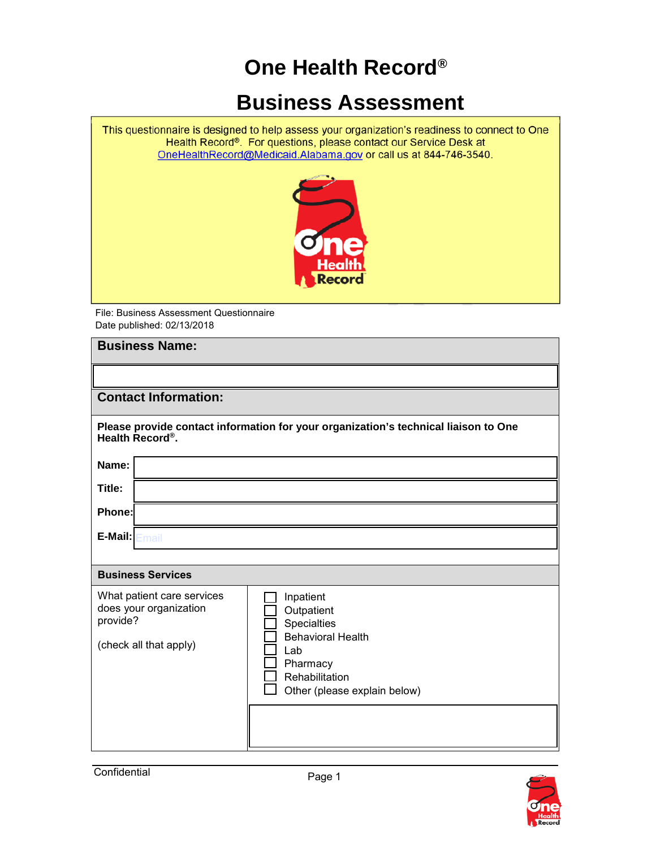## **One Health Record®**

## **Business Assessment**

This questionnaire is designed to help assess your organization's readiness to connect to One<br>Health Record®. For questions, please contact our Service Desk at OneHealthRecord@Medicaid.Alabama.gov or call us at 844-746-3540.



File: Business Assessment Questionnaire Date published: 02/13/2018

| <b>Business Name:</b>                                                                                               |                                                                                                                                         |  |
|---------------------------------------------------------------------------------------------------------------------|-----------------------------------------------------------------------------------------------------------------------------------------|--|
|                                                                                                                     |                                                                                                                                         |  |
| <b>Contact Information:</b>                                                                                         |                                                                                                                                         |  |
| Please provide contact information for your organization's technical liaison to One<br>Health Record <sup>®</sup> . |                                                                                                                                         |  |
| Name:                                                                                                               |                                                                                                                                         |  |
| Title:                                                                                                              |                                                                                                                                         |  |
| Phone:                                                                                                              |                                                                                                                                         |  |
| $E$ -Mail: $E$ mail                                                                                                 |                                                                                                                                         |  |
|                                                                                                                     |                                                                                                                                         |  |
| <b>Business Services</b>                                                                                            |                                                                                                                                         |  |
| What patient care services<br>does your organization<br>provide?<br>(check all that apply)                          | Inpatient<br>Outpatient<br>Specialties<br><b>Behavioral Health</b><br>Lab<br>Pharmacy<br>Rehabilitation<br>Other (please explain below) |  |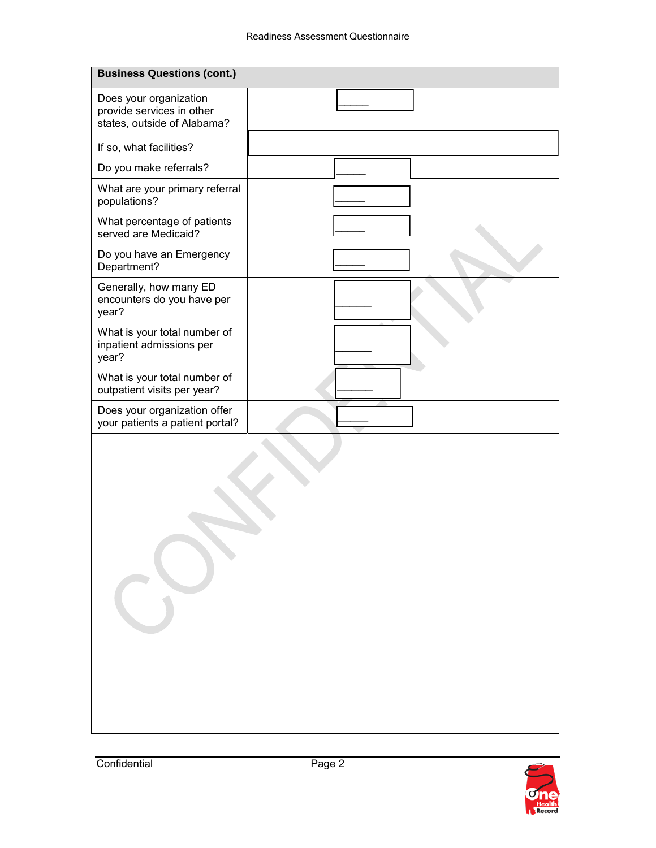| <b>Business Questions (cont.)</b>                                                  |  |  |  |
|------------------------------------------------------------------------------------|--|--|--|
| Does your organization<br>provide services in other<br>states, outside of Alabama? |  |  |  |
| If so, what facilities?                                                            |  |  |  |
| Do you make referrals?                                                             |  |  |  |
| What are your primary referral<br>populations?                                     |  |  |  |
| What percentage of patients<br>served are Medicaid?                                |  |  |  |
| Do you have an Emergency<br>Department?                                            |  |  |  |
| Generally, how many ED<br>encounters do you have per<br>year?                      |  |  |  |
| What is your total number of<br>inpatient admissions per<br>year?                  |  |  |  |
| What is your total number of<br>outpatient visits per year?                        |  |  |  |
| Does your organization offer<br>your patients a patient portal?                    |  |  |  |
|                                                                                    |  |  |  |